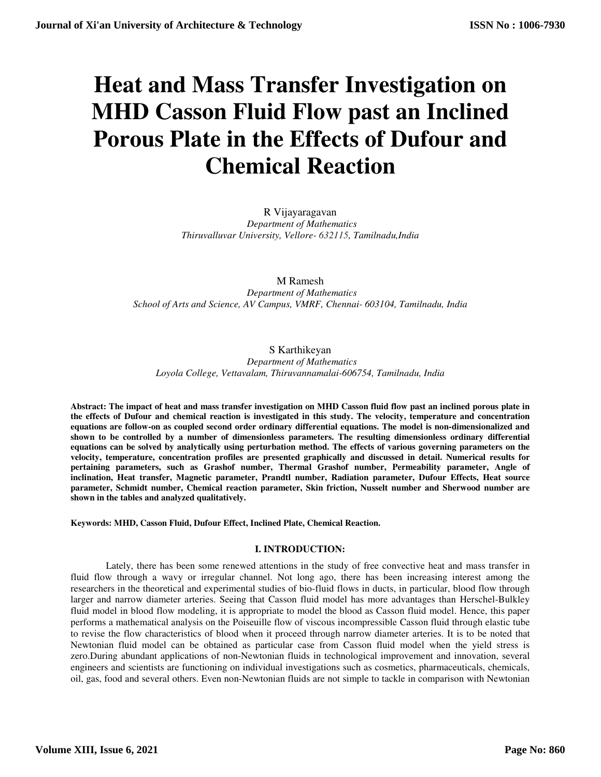# **Heat and Mass Transfer Investigation on MHD Casson Fluid Flow past an Inclined Porous Plate in the Effects of Dufour and Chemical Reaction**

R Vijayaragavan  *Department of Mathematics Thiruvalluvar University, Vellore- 632115, Tamilnadu,India* 

M Ramesh  *Department of Mathematics School of Arts and Science, AV Campus, VMRF, Chennai- 603104, Tamilnadu, India* 

# S Karthikeyan

 *Department of Mathematics Loyola College, Vettavalam, Thiruvannamalai-606754, Tamilnadu, India* 

**Abstract: The impact of heat and mass transfer investigation on MHD Casson fluid flow past an inclined porous plate in the effects of Dufour and chemical reaction is investigated in this study. The velocity, temperature and concentration equations are follow-on as coupled second order ordinary differential equations. The model is non-dimensionalized and shown to be controlled by a number of dimensionless parameters. The resulting dimensionless ordinary differential equations can be solved by analytically using perturbation method. The effects of various governing parameters on the velocity, temperature, concentration profiles are presented graphically and discussed in detail. Numerical results for pertaining parameters, such as Grashof number, Thermal Grashof number, Permeability parameter, Angle of inclination, Heat transfer, Magnetic parameter, Prandtl number, Radiation parameter, Dufour Effects, Heat source parameter, Schmidt number, Chemical reaction parameter, Skin friction, Nusselt number and Sherwood number are shown in the tables and analyzed qualitatively.**

**Keywords: MHD, Casson Fluid, Dufour Effect, Inclined Plate, Chemical Reaction.** 

# **I. INTRODUCTION:**

Lately, there has been some renewed attentions in the study of free convective heat and mass transfer in fluid flow through a wavy or irregular channel. Not long ago, there has been increasing interest among the researchers in the theoretical and experimental studies of bio-fluid flows in ducts, in particular, blood flow through larger and narrow diameter arteries. Seeing that Casson fluid model has more advantages than Herschel-Bulkley fluid model in blood flow modeling, it is appropriate to model the blood as Casson fluid model. Hence, this paper performs a mathematical analysis on the Poiseuille flow of viscous incompressible Casson fluid through elastic tube to revise the flow characteristics of blood when it proceed through narrow diameter arteries. It is to be noted that Newtonian fluid model can be obtained as particular case from Casson fluid model when the yield stress is zero.During abundant applications of non-Newtonian fluids in technological improvement and innovation, several engineers and scientists are functioning on individual investigations such as cosmetics, pharmaceuticals, chemicals, oil, gas, food and several others. Even non-Newtonian fluids are not simple to tackle in comparison with Newtonian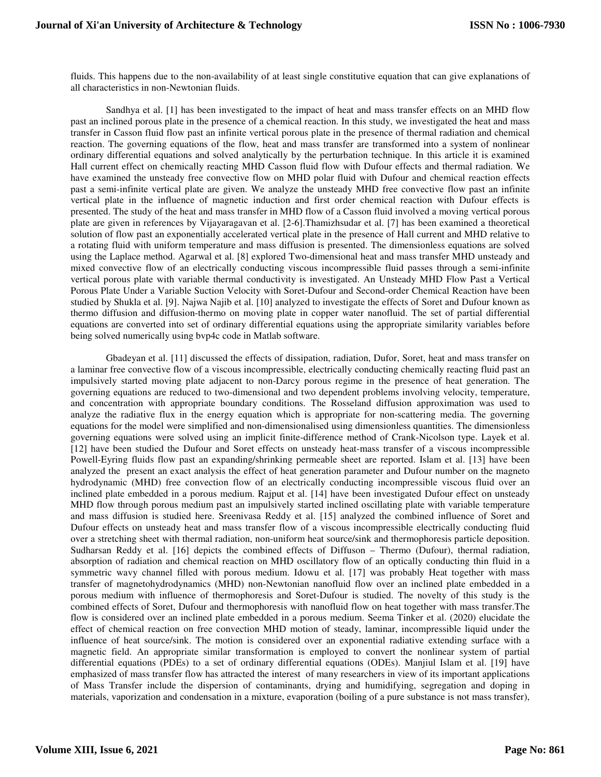fluids. This happens due to the non-availability of at least single constitutive equation that can give explanations of all characteristics in non-Newtonian fluids.

Sandhya et al. [1] has been investigated to the impact of heat and mass transfer effects on an MHD flow past an inclined porous plate in the presence of a chemical reaction. In this study, we investigated the heat and mass transfer in Casson fluid flow past an infinite vertical porous plate in the presence of thermal radiation and chemical reaction. The governing equations of the flow, heat and mass transfer are transformed into a system of nonlinear ordinary differential equations and solved analytically by the perturbation technique. In this article it is examined Hall current effect on chemically reacting MHD Casson fluid flow with Dufour effects and thermal radiation. We have examined the unsteady free convective flow on MHD polar fluid with Dufour and chemical reaction effects past a semi-infinite vertical plate are given. We analyze the unsteady MHD free convective flow past an infinite vertical plate in the influence of magnetic induction and first order chemical reaction with Dufour effects is presented. The study of the heat and mass transfer in MHD flow of a Casson fluid involved a moving vertical porous plate are given in references by Vijayaragavan et al. [2-6].Thamizhsudar et al. [7] has been examined a theoretical solution of flow past an exponentially accelerated vertical plate in the presence of Hall current and MHD relative to a rotating fluid with uniform temperature and mass diffusion is presented. The dimensionless equations are solved using the Laplace method. Agarwal et al. [8] explored Two-dimensional heat and mass transfer MHD unsteady and mixed convective flow of an electrically conducting viscous incompressible fluid passes through a semi-infinite vertical porous plate with variable thermal conductivity is investigated. An Unsteady MHD Flow Past a Vertical Porous Plate Under a Variable Suction Velocity with Soret-Dufour and Second-order Chemical Reaction have been studied by Shukla et al. [9]. Najwa Najib et al. [10] analyzed to investigate the effects of Soret and Dufour known as thermo diffusion and diffusion-thermo on moving plate in copper water nanofluid. The set of partial differential equations are converted into set of ordinary differential equations using the appropriate similarity variables before being solved numerically using bvp4c code in Matlab software.

Gbadeyan et al. [11] discussed the effects of dissipation, radiation, Dufor, Soret, heat and mass transfer on a laminar free convective flow of a viscous incompressible, electrically conducting chemically reacting fluid past an impulsively started moving plate adjacent to non-Darcy porous regime in the presence of heat generation. The governing equations are reduced to two-dimensional and two dependent problems involving velocity, temperature, and concentration with appropriate boundary conditions. The Rosseland diffusion approximation was used to analyze the radiative flux in the energy equation which is appropriate for non-scattering media. The governing equations for the model were simplified and non-dimensionalised using dimensionless quantities. The dimensionless governing equations were solved using an implicit finite-difference method of Crank-Nicolson type. Layek et al. [12] have been studied the Dufour and Soret effects on unsteady heat-mass transfer of a viscous incompressible Powell-Eyring fluids flow past an expanding/shrinking permeable sheet are reported. Islam et al. [13] have been analyzed the present an exact analysis the effect of heat generation parameter and Dufour number on the magneto hydrodynamic (MHD) free convection flow of an electrically conducting incompressible viscous fluid over an inclined plate embedded in a porous medium. Rajput et al. [14] have been investigated Dufour effect on unsteady MHD flow through porous medium past an impulsively started inclined oscillating plate with variable temperature and mass diffusion is studied here. Sreenivasa Reddy et al. [15] analyzed the combined influence of Soret and Dufour effects on unsteady heat and mass transfer flow of a viscous incompressible electrically conducting fluid over a stretching sheet with thermal radiation, non-uniform heat source/sink and thermophoresis particle deposition. Sudharsan Reddy et al. [16] depicts the combined effects of Diffuson – Thermo (Dufour), thermal radiation, absorption of radiation and chemical reaction on MHD oscillatory flow of an optically conducting thin fluid in a symmetric wavy channel filled with porous medium. Idowu et al. [17] was probably Heat together with mass transfer of magnetohydrodynamics (MHD) non-Newtonian nanofluid flow over an inclined plate embedded in a porous medium with influence of thermophoresis and Soret-Dufour is studied. The novelty of this study is the combined effects of Soret, Dufour and thermophoresis with nanofluid flow on heat together with mass transfer.The flow is considered over an inclined plate embedded in a porous medium. Seema Tinker et al. (2020) elucidate the effect of chemical reaction on free convection MHD motion of steady, laminar, incompressible liquid under the influence of heat source/sink. The motion is considered over an exponential radiative extending surface with a magnetic field. An appropriate similar transformation is employed to convert the nonlinear system of partial differential equations (PDEs) to a set of ordinary differential equations (ODEs). Manjiul Islam et al. [19] have emphasized of mass transfer flow has attracted the interest of many researchers in view of its important applications of Mass Transfer include the dispersion of contaminants, drying and humidifying, segregation and doping in materials, vaporization and condensation in a mixture, evaporation (boiling of a pure substance is not mass transfer),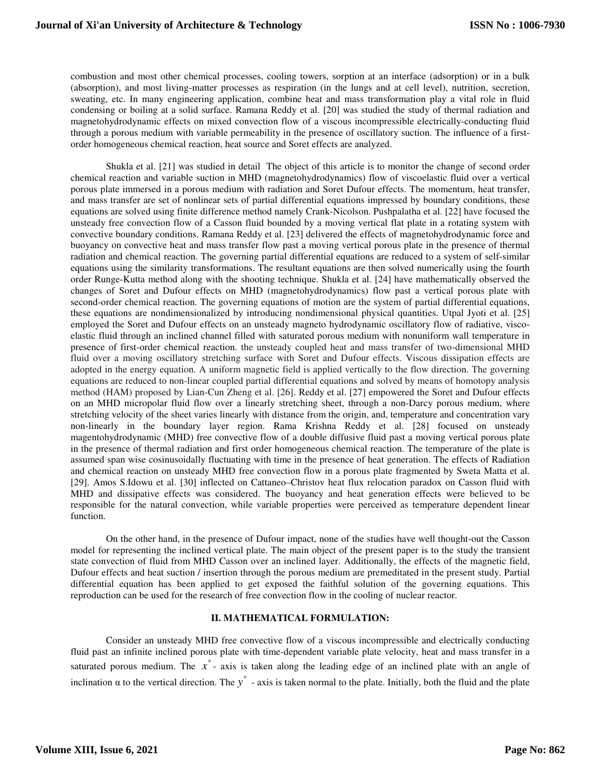combustion and most other chemical processes, cooling towers, sorption at an interface (adsorption) or in a bulk (absorption), and most living-matter processes as respiration (in the lungs and at cell level), nutrition, secretion, sweating, etc. In many engineering application, combine heat and mass transformation play a vital role in fluid condensing or boiling at a solid surface. Ramana Reddy et al. [20] was studied the study of thermal radiation and magnetohydrodynamic effects on mixed convection flow of a viscous incompressible electrically-conducting fluid through a porous medium with variable permeability in the presence of oscillatory suction. The influence of a firstorder homogeneous chemical reaction, heat source and Soret effects are analyzed.

Shukla et al. [21] was studied in detail The object of this article is to monitor the change of second order chemical reaction and variable suction in MHD (magnetohydrodynamics) flow of viscoelastic fluid over a vertical porous plate immersed in a porous medium with radiation and Soret Dufour effects. The momentum, heat transfer, and mass transfer are set of nonlinear sets of partial differential equations impressed by boundary conditions, these equations are solved using finite difference method namely Crank-Nicolson. Pushpalatha et al. [22] have focused the unsteady free convection flow of a Casson fluid bounded by a moving vertical flat plate in a rotating system with convective boundary conditions. Ramana Reddy et al. [23] delivered the effects of magnetohydrodynamic force and buoyancy on convective heat and mass transfer flow past a moving vertical porous plate in the presence of thermal radiation and chemical reaction. The governing partial differential equations are reduced to a system of self-similar equations using the similarity transformations. The resultant equations are then solved numerically using the fourth order Runge-Kutta method along with the shooting technique. Shukla et al. [24] have mathematically observed the changes of Soret and Dufour effects on MHD (magnetohydrodynamics) flow past a vertical porous plate with second-order chemical reaction. The governing equations of motion are the system of partial differential equations, these equations are nondimensionalized by introducing nondimensional physical quantities. Utpal Jyoti et al. [25] employed the Soret and Dufour effects on an unsteady magneto hydrodynamic oscillatory flow of radiative, viscoelastic fluid through an inclined channel filled with saturated porous medium with nonuniform wall temperature in presence of first-order chemical reaction. the unsteady coupled heat and mass transfer of two-dimensional MHD fluid over a moving oscillatory stretching surface with Soret and Dufour effects. Viscous dissipation effects are adopted in the energy equation. A uniform magnetic field is applied vertically to the flow direction. The governing equations are reduced to non-linear coupled partial differential equations and solved by means of homotopy analysis method (HAM) proposed by Lian-Cun Zheng et al. [26]. Reddy et al. [27] empowered the Soret and Dufour effects on an MHD micropolar fluid flow over a linearly stretching sheet, through a non-Darcy porous medium, where stretching velocity of the sheet varies linearly with distance from the origin, and, temperature and concentration vary non-linearly in the boundary layer region. Rama Krishna Reddy et al. [28] focused on unsteady magentohydrodynamic (MHD) free convective flow of a double diffusive fluid past a moving vertical porous plate in the presence of thermal radiation and first order homogeneous chemical reaction. The temperature of the plate is assumed span wise cosinusoidally fluctuating with time in the presence of heat generation. The effects of Radiation and chemical reaction on unsteady MHD free convection flow in a porous plate fragmented by Sweta Matta et al. [29]. Amos S.Idowu et al. [30] inflected on Cattaneo–Christov heat flux relocation paradox on Casson fluid with MHD and dissipative effects was considered. The buoyancy and heat generation effects were believed to be responsible for the natural convection, while variable properties were perceived as temperature dependent linear function.

On the other hand, in the presence of Dufour impact, none of the studies have well thought-out the Casson model for representing the inclined vertical plate. The main object of the present paper is to the study the transient state convection of fluid from MHD Casson over an inclined layer. Additionally, the effects of the magnetic field, Dufour effects and heat suction / insertion through the porous medium are premeditated in the present study. Partial differential equation has been applied to get exposed the faithful solution of the governing equations. This reproduction can be used for the research of free convection flow in the cooling of nuclear reactor.

# **II. MATHEMATICAL FORMULATION:**

Consider an unsteady MHD free convective flow of a viscous incompressible and electrically conducting fluid past an infinite inclined porous plate with time-dependent variable plate velocity, heat and mass transfer in a saturated porous medium. The  $x^*$ - axis is taken along the leading edge of an inclined plate with an angle of inclination  $\alpha$  to the vertical direction. The  $y^*$  - axis is taken normal to the plate. Initially, both the fluid and the plate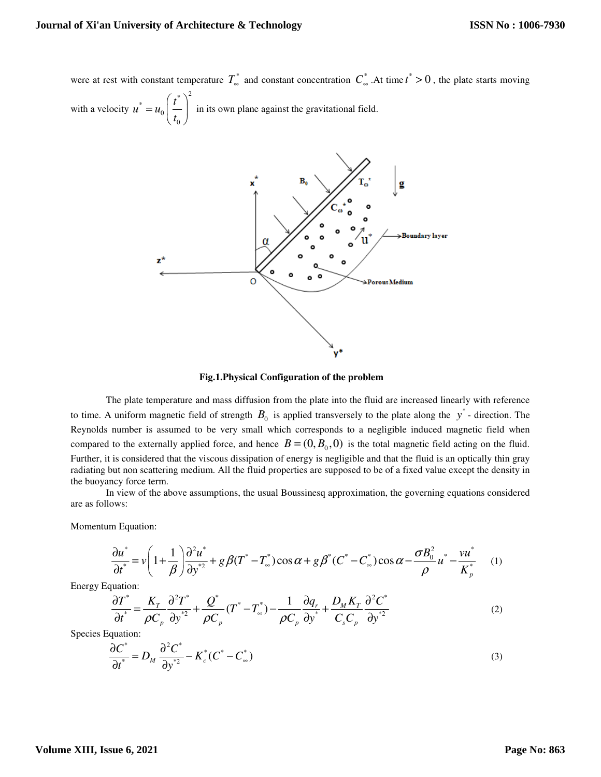were at rest with constant temperature  $T_{\infty}^{*}$  and constant concentration  $C_{\infty}^{*}$ . At time  $t^{*} > 0$ , the plate starts moving

with a velocity  $\left\{ \begin{array}{c} t^* \\ t^* \end{array} \right\}^2$  $\mathbf{0}$ 0  $u^* = u_0 \left( \frac{t}{t} \right)$ *t*  $\left( t^{\ast }\right) ^{2}$  $= u_0 \left( \frac{v}{t_0} \right)$  in its own plane against the gravitational field.



 **Fig.1.Physical Configuration of the problem** 

The plate temperature and mass diffusion from the plate into the fluid are increased linearly with reference to time. A uniform magnetic field of strength  $B_0$  is applied transversely to the plate along the  $y^*$ -direction. The Reynolds number is assumed to be very small which corresponds to a negligible induced magnetic field when compared to the externally applied force, and hence  $B = (0, B_0, 0)$  is the total magnetic field acting on the fluid. Further, it is considered that the viscous dissipation of energy is negligible and that the fluid is an optically thin gray radiating but non scattering medium. All the fluid properties are supposed to be of a fixed value except the density in the buoyancy force term.

In view of the above assumptions, the usual Boussinesq approximation, the governing equations considered are as follows:

Momentum Equation:

$$
\frac{\partial u^*}{\partial t^*} = v \left( 1 + \frac{1}{\beta} \right) \frac{\partial^2 u^*}{\partial y^{*2}} + g \beta (T^* - T^*_{\infty}) \cos \alpha + g \beta^* (C^* - C^*_{\infty}) \cos \alpha - \frac{\sigma B_0^2}{\rho} u^* - \frac{vu^*}{K_p^*} \tag{1}
$$

Energy Equation:

$$
\frac{\partial T^*}{\partial t^*} = \frac{K_T}{\rho C_p} \frac{\partial^2 T^*}{\partial y^{*2}} + \frac{Q^*}{\rho C_p} (T^* - T_\infty^*) - \frac{1}{\rho C_p} \frac{\partial q_r}{\partial y^*} + \frac{D_M K_T}{C_s C_p} \frac{\partial^2 C^*}{\partial y^{*2}}
$$
(2)

Species Equation:

$$
\frac{\partial C^*}{\partial t^*} = D_M \frac{\partial^2 C^*}{\partial y^{*2}} - K_c^*(C^* - C_\infty^*)
$$
\n(3)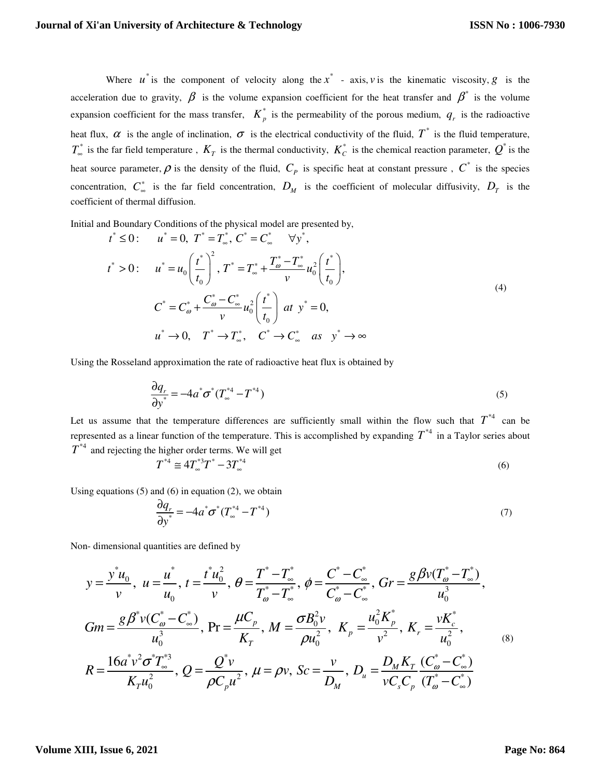Where  $u^*$  is the component of velocity along the  $x^*$  - axis, *v* is the kinematic viscosity, *g* is the acceleration due to gravity,  $\beta$  is the volume expansion coefficient for the heat transfer and  $\beta^*$  is the volume expansion coefficient for the mass transfer,  $K_p^*$  is the permeability of the porous medium,  $q_r$  is the radioactive heat flux,  $\alpha$  is the angle of inclination,  $\sigma$  is the electrical conductivity of the fluid,  $T^*$  is the fluid temperature,  $T_{\infty}^*$  is the far field temperature,  $K_T$  is the thermal conductivity,  $K_C^*$  is the chemical reaction parameter,  $Q^*$  is the heat source parameter,  $\rho$  is the density of the fluid,  $C_p$  is specific heat at constant pressure,  $C^*$  is the species concentration, *C* ∗  $\frac{1}{\infty}$  is the far field concentration,  $D_M$  is the coefficient of molecular diffusivity,  $D_T$  is the coefficient of thermal diffusion.

Initial and Boundary Conditions of the physical model are presented by,

$$
t^* \le 0: \t u^* = 0, \t T^* = T^*, \t C^* = C^* \quad \forall y^*,
$$
  
\n
$$
t^* > 0: \t u^* = u_0 \left(\frac{t^*}{t_0}\right)^2, \t T^* = T^* + \frac{T^* - T^*}{\nu} u_0^2 \left(\frac{t^*}{t_0}\right),
$$
  
\n
$$
C^* = C^* - \frac{C^* - C^*}{\nu} u_0^2 \left(\frac{t^*}{t_0}\right) \t at \t y^* = 0,
$$
  
\n
$$
u^* \to 0, \t T^* \to T^*, \t C^* \to C^* \t as \t y^* \to \infty
$$
  
\n(4)

Using the Rosseland approximation the rate of radioactive heat flux is obtained by

$$
\frac{\partial q_r}{\partial y^*} = -4a^*\sigma^*(T_\infty^{*4} - T^{*4})
$$
\n(5)

Let us assume that the temperature differences are sufficiently small within the flow such that  $T^{*4}$  can be represented as a linear function of the temperature. This is accomplished by expanding  $T^{*4}$  in a Taylor series about  $T^{*4}$  and rejecting the higher order terms. We will get

$$
T^{*4} \cong 4T^{*3}_{\infty}T^* - 3T^{*4}_{\infty} \tag{6}
$$

Using equations  $(5)$  and  $(6)$  in equation  $(2)$ , we obtain

$$
\frac{\partial q_r}{\partial y^*} = -4a^*\sigma^*(T_\infty^{*4} - T^{*4})\tag{7}
$$

Non- dimensional quantities are defined by

$$
y = \frac{y^* u_0}{v}, \ u = \frac{u^*}{u_0}, \ t = \frac{t^* u_0^2}{v}, \ \theta = \frac{T^* - T^*}{T^*_{\omega} - T^*_{\omega}}, \ \phi = \frac{C^* - C^*_{\omega}}{C^*_{\omega} - C^*_{\omega}}, \ \ Gr = \frac{g \beta v (T^*_{\omega} - T^*_{\omega})}{u_0^3},
$$
\n
$$
Gm = \frac{g \beta^* v (C^*_{\omega} - C^*_{\omega})}{u_0^3}, \ \Pr = \frac{\mu C_p}{K_T}, \ M = \frac{\sigma B_0^2 v}{\rho u_0^2}, \ \ K_p = \frac{u_0^2 K_p^*}{v^2}, \ \ K_r = \frac{v K_c^*}{u_0^2},
$$
\n
$$
R = \frac{16a^* v^2 \sigma^* T^*_{\omega}}{K_T u_0^2}, \ Q = \frac{Q^* v}{\rho C_p u^2}, \ \mu = \rho v, \ Sc = \frac{v}{D_M}, \ D_u = \frac{D_M K_T}{v C_s C_p} \frac{(C^*_{\omega} - C^*_{\omega})}{(T^*_{\omega} - C^*_{\omega})}
$$
\n(8)

## **Volume XIII, Issue 6, 2021**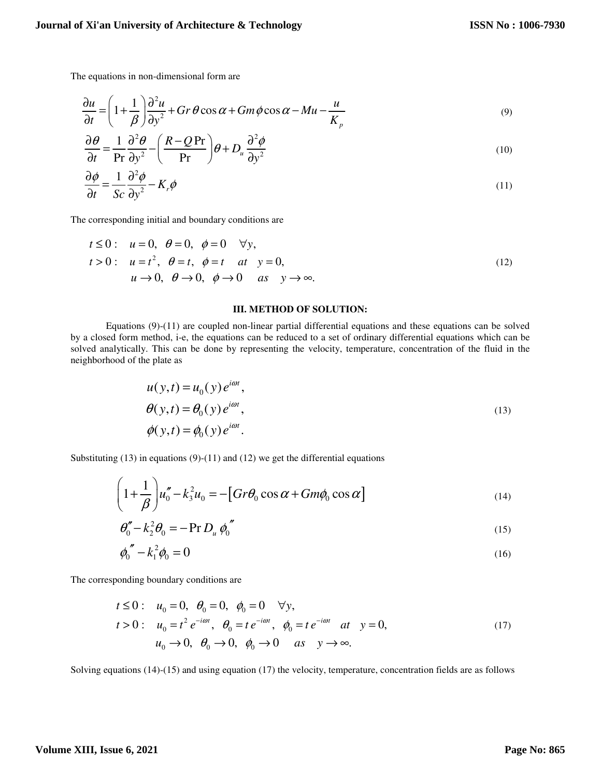The equations in non-dimensional form are

$$
\frac{\partial u}{\partial t} = \left(1 + \frac{1}{\beta}\right) \frac{\partial^2 u}{\partial y^2} + Gr \, \theta \cos \alpha + Gm \, \phi \cos \alpha - Mu - \frac{u}{K_p} \tag{9}
$$

$$
\frac{\partial \theta}{\partial t} = \frac{1}{\text{Pr}} \frac{\partial^2 \theta}{\partial y^2} - \left(\frac{R - Q\text{Pr}}{\text{Pr}}\right)\theta + D_u \frac{\partial^2 \phi}{\partial y^2}
$$
(10)

$$
\frac{\partial \phi}{\partial t} = \frac{1}{Sc} \frac{\partial^2 \phi}{\partial y^2} - K_r \phi \tag{11}
$$

The corresponding initial and boundary conditions are

$$
t \le 0: \quad u = 0, \quad \theta = 0, \quad \phi = 0 \quad \forall y,
$$
  
\n
$$
t > 0: \quad u = t^2, \quad \theta = t, \quad \phi = t \quad at \quad y = 0,
$$
  
\n
$$
u \to 0, \quad \theta \to 0, \quad \phi \to 0 \quad as \quad y \to \infty.
$$
\n
$$
(12)
$$

## **III. METHOD OF SOLUTION:**

Equations (9)-(11) are coupled non-linear partial differential equations and these equations can be solved by a closed form method, i-e, the equations can be reduced to a set of ordinary differential equations which can be solved analytically. This can be done by representing the velocity, temperature, concentration of the fluid in the neighborhood of the plate as

$$
u(y,t) = u_0(y)e^{i\omega t},
$$
  
\n
$$
\theta(y,t) = \theta_0(y)e^{i\omega t},
$$
  
\n
$$
\phi(y,t) = \phi_0(y)e^{i\omega t}.
$$
\n(13)

Substituting  $(13)$  in equations  $(9)-(11)$  and  $(12)$  we get the differential equations

$$
\left(1+\frac{1}{\beta}\right)u_0''-k_3^2u_0 = -\left[Gr\theta_0\cos\alpha + Gm\phi_0\cos\alpha\right]
$$
\n(14)

$$
\theta_0'' - k_2^2 \theta_0 = -\Pr D_u \phi_0'' \tag{15}
$$

$$
\phi_0'' - k_1^2 \phi_0 = 0 \tag{16}
$$

The corresponding boundary conditions are

$$
t \le 0: \quad u_0 = 0, \quad \theta_0 = 0, \quad \phi_0 = 0 \quad \forall y,
$$
  
\n
$$
t > 0: \quad u_0 = t^2 e^{-i\omega t}, \quad \theta_0 = t e^{-i\omega t}, \quad \phi_0 = t e^{-i\omega t} \quad at \quad y = 0,
$$
  
\n
$$
u_0 \rightarrow 0, \quad \theta_0 \rightarrow 0, \quad \phi_0 \rightarrow 0 \quad as \quad y \rightarrow \infty.
$$
\n
$$
(17)
$$

Solving equations (14)-(15) and using equation (17) the velocity, temperature, concentration fields are as follows

# **Volume XIII, Issue 6, 2021**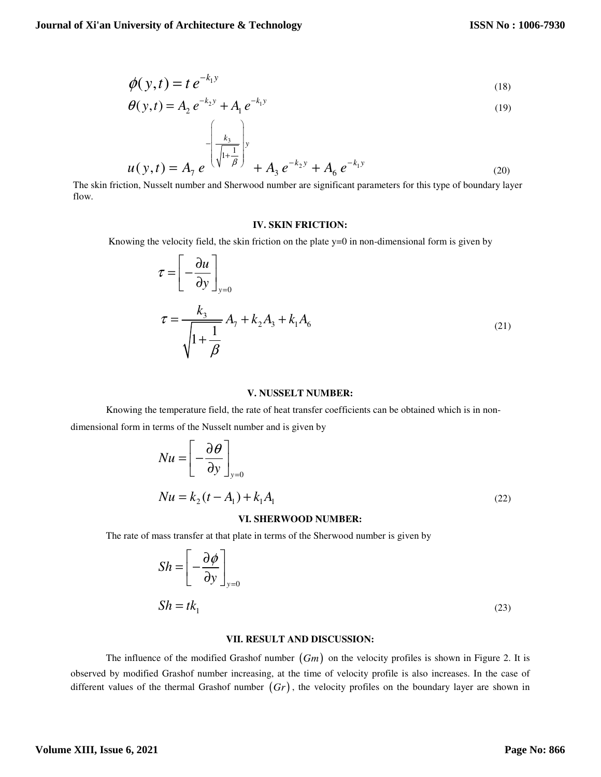$$
\phi(y,t) = t e^{-k_1 y} \tag{18}
$$

$$
\theta(y,t) = A_2 e^{-k_2 y} + A_1 e^{-k_1 y} \tag{19}
$$

$$
u(y,t) = A_7 e^{-\left(\frac{k_3}{\sqrt{1+\frac{1}{\beta}}}\right)y} + A_3 e^{-k_2 y} + A_6 e^{-k_1 y}
$$
\n(20)

 The skin friction, Nusselt number and Sherwood number are significant parameters for this type of boundary layer flow.

#### **IV. SKIN FRICTION:**

Knowing the velocity field, the skin friction on the plate y=0 in non-dimensional form is given by

$$
\tau = \left[ -\frac{\partial u}{\partial y} \right]_{y=0}
$$
  

$$
\tau = \frac{k_3}{\sqrt{1 + \frac{1}{\beta}}} A_7 + k_2 A_3 + k_1 A_6
$$
 (21)

## **V. NUSSELT NUMBER:**

Knowing the temperature field, the rate of heat transfer coefficients can be obtained which is in nondimensional form in terms of the Nusselt number and is given by

$$
Nu = \left[ -\frac{\partial \theta}{\partial y} \right]_{y=0}
$$
  
\n
$$
Nu = k_2(t - A_1) + k_1 A_1
$$
 (22)

#### **VI. SHERWOOD NUMBER:**

The rate of mass transfer at that plate in terms of the Sherwood number is given by

$$
Sh = \left[ -\frac{\partial \phi}{\partial y} \right]_{y=0}
$$
  

$$
Sh = tk_1
$$
 (23)

### **VII. RESULT AND DISCUSSION:**

The influence of the modified Grashof number (*Gm*) on the velocity profiles is shown in Figure 2. It is observed by modified Grashof number increasing, at the time of velocity profile is also increases. In the case of different values of the thermal Grashof number (*Gr*) , the velocity profiles on the boundary layer are shown in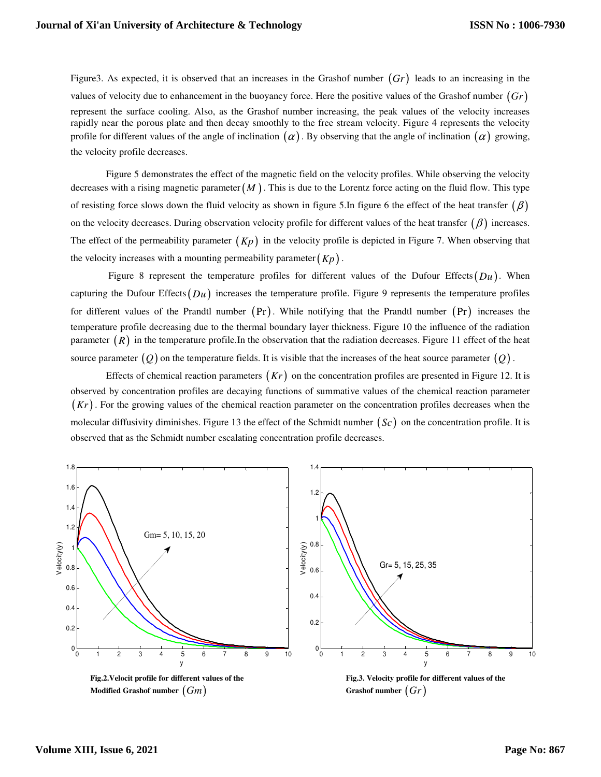Figure3. As expected, it is observed that an increases in the Grashof number (*Gr*) leads to an increasing in the values of velocity due to enhancement in the buoyancy force. Here the positive values of the Grashof number (*Gr*) represent the surface cooling. Also, as the Grashof number increasing, the peak values of the velocity increases rapidly near the porous plate and then decay smoothly to the free stream velocity. Figure 4 represents the velocity profile for different values of the angle of inclination  $\alpha$ . By observing that the angle of inclination  $\alpha$  growing, the velocity profile decreases.

Figure 5 demonstrates the effect of the magnetic field on the velocity profiles. While observing the velocity decreases with a rising magnetic parameter $(M)$ . This is due to the Lorentz force acting on the fluid flow. This type of resisting force slows down the fluid velocity as shown in figure 5.In figure 6 the effect of the heat transfer  $(\beta)$ on the velocity decreases. During observation velocity profile for different values of the heat transfer  $(\beta)$  increases. The effect of the permeability parameter  $(Kp)$  in the velocity profile is depicted in Figure 7. When observing that the velocity increases with a mounting permeability parameter  $(K_p)$ .

Figure 8 represent the temperature profiles for different values of the Dufour Effects $(Du)$ . When capturing the Dufour Effects(*Du*) increases the temperature profile. Figure 9 represents the temperature profiles for different values of the Prandtl number  $(Pr)$ . While notifying that the Prandtl number  $(Pr)$  increases the temperature profile decreasing due to the thermal boundary layer thickness. Figure 10 the influence of the radiation parameter  $(R)$  in the temperature profile.In the observation that the radiation decreases. Figure 11 effect of the heat source parameter  $(Q)$  on the temperature fields. It is visible that the increases of the heat source parameter  $(Q)$ .

Effects of chemical reaction parameters (*Kr*) on the concentration profiles are presented in Figure 12. It is observed by concentration profiles are decaying functions of summative values of the chemical reaction parameter (*Kr*) . For the growing values of the chemical reaction parameter on the concentration profiles decreases when the molecular diffusivity diminishes. Figure 13 the effect of the Schmidt number (*Sc*) on the concentration profile. It is observed that as the Schmidt number escalating concentration profile decreases.



 **Modified Grashof number**  $(Gm)$  **Grashof number**  $(Gr)$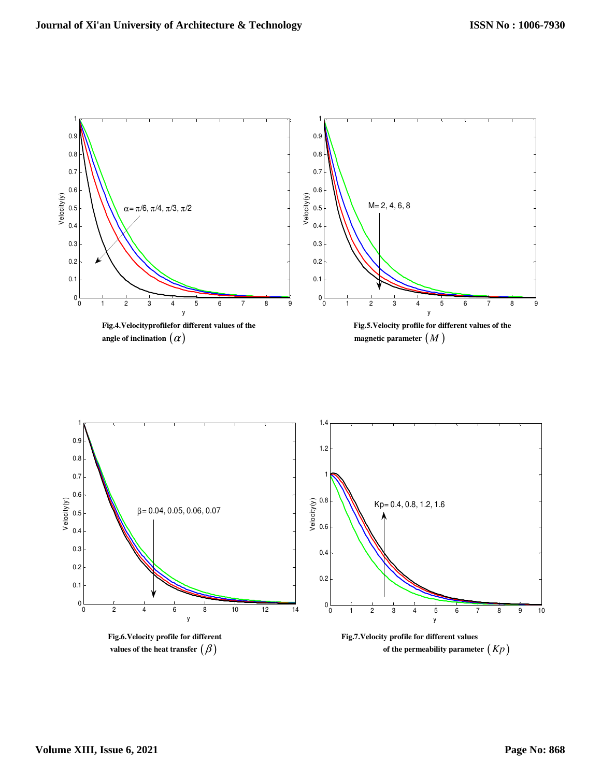

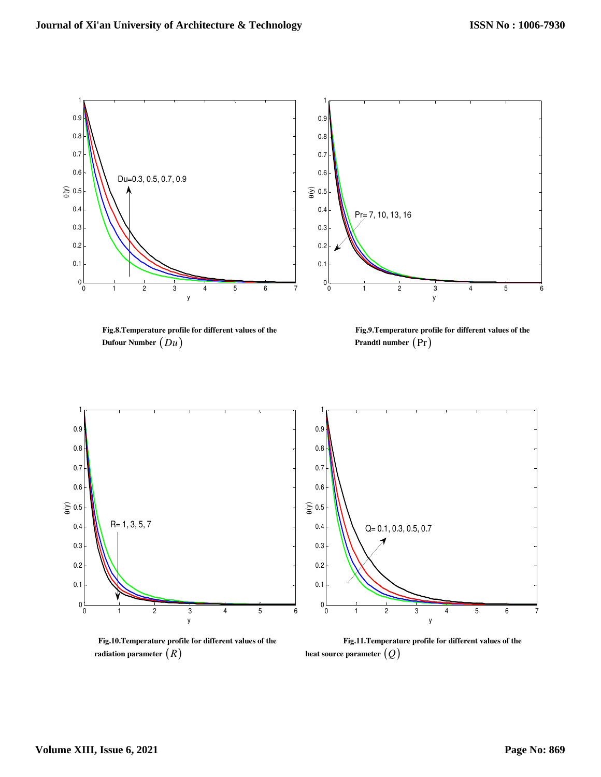

 **Dufour Number**  $(Du)$  **Prandtl number**  $(\Pr)$ 

**Fig.8.Temperature profile for different values of the Fig.9.Temperature profile for different values of the** 



 **radiation parameter**  $(R)$  **heat source parameter**  $(Q)$ 

 **Fig.10.Temperature profile for different values of the Fig.11.Temperature profile for different values of the**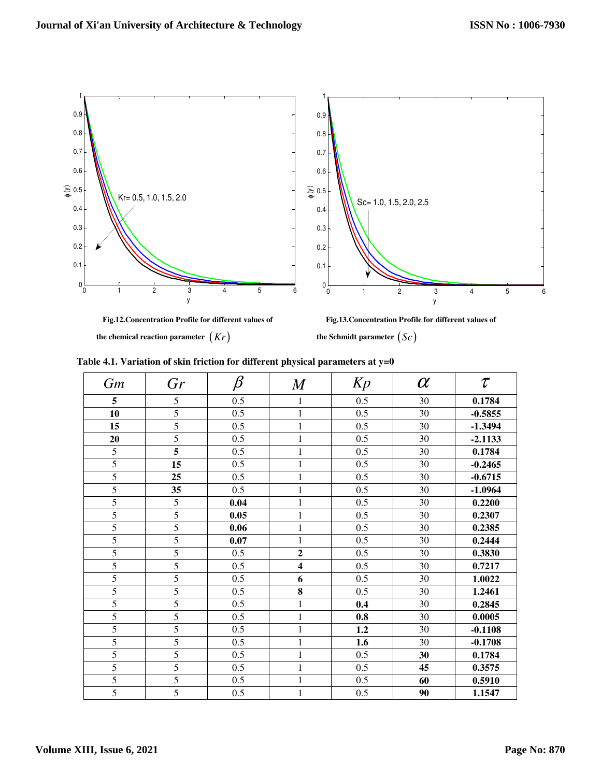

 **the chemical reaction parameter**  $(Kr)$  **the Schmidt parameter**  $(Sc)$ 

| Table 4.1. Variation of skin friction for different physical parameters at $y=0$ |  |
|----------------------------------------------------------------------------------|--|
|----------------------------------------------------------------------------------|--|

| <b>Gm</b>      | Gr             | $\beta$ | $\bm{M}$                | Kp  | $\alpha$ | $\tau$    |
|----------------|----------------|---------|-------------------------|-----|----------|-----------|
| 5              | 5              | 0.5     | $\mathbf{1}$            | 0.5 | 30       | 0.1784    |
| 10             | 5              | 0.5     | $\mathbf{1}$            | 0.5 | 30       | $-0.5855$ |
| 15             | $\overline{5}$ | 0.5     | $\mathbf{1}$            | 0.5 | 30       | $-1.3494$ |
| 20             | 5              | 0.5     | $\mathbf{1}$            | 0.5 | 30       | $-2.1133$ |
| 5              | 5              | 0.5     | $\mathbf{1}$            | 0.5 | 30       | 0.1784    |
| 5              | 15             | 0.5     | $\mathbf{1}$            | 0.5 | 30       | $-0.2465$ |
| 5              | 25             | 0.5     | $\mathbf{1}$            | 0.5 | 30       | $-0.6715$ |
| $\overline{5}$ | 35             | 0.5     | $\mathbf{1}$            | 0.5 | 30       | $-1.0964$ |
| 5              | 5              | 0.04    | $\mathbf{1}$            | 0.5 | 30       | 0.2200    |
| 5              | $\overline{5}$ | 0.05    | $\mathbf{1}$            | 0.5 | 30       | 0.2307    |
| 5              | $\overline{5}$ | 0.06    | 1                       | 0.5 | 30       | 0.2385    |
| 5              | $\overline{5}$ | 0.07    | $\mathbf{1}$            | 0.5 | 30       | 0.2444    |
| 5              | $\overline{5}$ | 0.5     | $\overline{2}$          | 0.5 | 30       | 0.3830    |
| 5              | 5              | 0.5     | $\overline{\mathbf{4}}$ | 0.5 | 30       | 0.7217    |
| 5              | 5              | 0.5     | 6                       | 0.5 | 30       | 1.0022    |
| 5              | $\overline{5}$ | 0.5     | 8                       | 0.5 | 30       | 1.2461    |
| 5              | 5              | 0.5     | $\mathbf{1}$            | 0.4 | 30       | 0.2845    |
| 5              | $\overline{5}$ | 0.5     | $\mathbf{1}$            | 0.8 | 30       | 0.0005    |
| 5              | 5              | 0.5     | $\mathbf{1}$            | 1.2 | 30       | $-0.1108$ |
| 5              | $\overline{5}$ | 0.5     | 1                       | 1.6 | 30       | $-0.1708$ |
| 5              | 5              | 0.5     | $\mathbf{1}$            | 0.5 | 30       | 0.1784    |
| 5              | 5              | 0.5     | $\mathbf{1}$            | 0.5 | 45       | 0.3575    |
| 5              | 5              | 0.5     | $\mathbf{1}$            | 0.5 | 60       | 0.5910    |
| 5              | $\overline{5}$ | 0.5     | $\mathbf{1}$            | 0.5 | 90       | 1.1547    |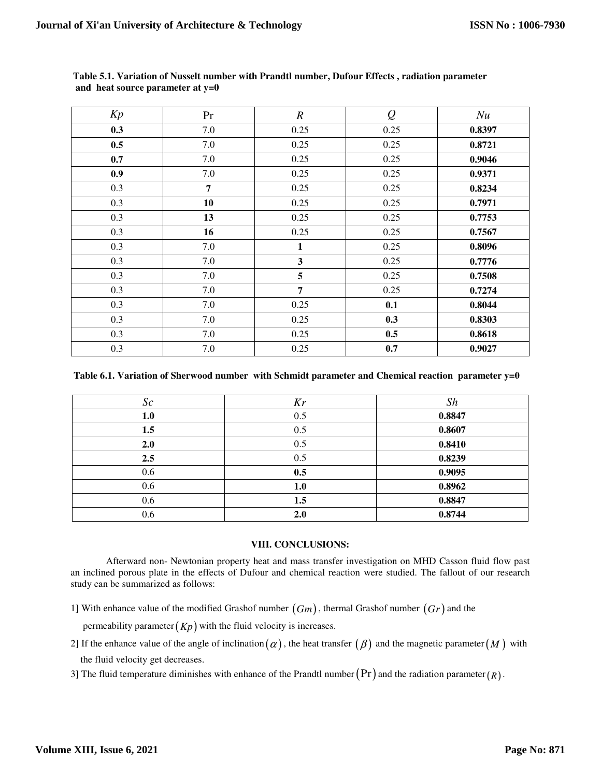| Kp  | Pr             | $\boldsymbol{R}$ | $\mathcal{Q}$ | Nu     |
|-----|----------------|------------------|---------------|--------|
| 0.3 | 7.0            | 0.25             | 0.25          | 0.8397 |
| 0.5 | 7.0            | 0.25             | 0.25          | 0.8721 |
| 0.7 | 7.0            | 0.25             | 0.25          | 0.9046 |
| 0.9 | 7.0            | 0.25             | 0.25          | 0.9371 |
| 0.3 | $\overline{7}$ | 0.25             | 0.25          | 0.8234 |
| 0.3 | 10             | 0.25             | 0.25          | 0.7971 |
| 0.3 | 13             | 0.25             | 0.25          | 0.7753 |
| 0.3 | 16             | 0.25             | 0.25          | 0.7567 |
| 0.3 | 7.0            | $\mathbf{1}$     | 0.25          | 0.8096 |
| 0.3 | 7.0            | $\mathbf{3}$     | 0.25          | 0.7776 |
| 0.3 | 7.0            | 5                | 0.25          | 0.7508 |
| 0.3 | 7.0            | $\overline{7}$   | 0.25          | 0.7274 |
| 0.3 | 7.0            | 0.25             | 0.1           | 0.8044 |
| 0.3 | 7.0            | 0.25             | 0.3           | 0.8303 |
| 0.3 | 7.0            | 0.25             | 0.5           | 0.8618 |
| 0.3 | 7.0            | 0.25             | 0.7           | 0.9027 |

 **Table 5.1. Variation of Nusselt number with Prandtl number, Dufour Effects , radiation parameter and heat source parameter at y=0** 

## **Table 6.1. Variation of Sherwood number with Schmidt parameter and Chemical reaction parameter y=0**

| Sc  | Kr  | Sh     |
|-----|-----|--------|
| 1.0 | 0.5 | 0.8847 |
| 1.5 | 0.5 | 0.8607 |
| 2.0 | 0.5 | 0.8410 |
| 2.5 | 0.5 | 0.8239 |
| 0.6 | 0.5 | 0.9095 |
| 0.6 | 1.0 | 0.8962 |
| 0.6 | 1.5 | 0.8847 |
| 0.6 | 2.0 | 0.8744 |

## **VIII. CONCLUSIONS:**

Afterward non- Newtonian property heat and mass transfer investigation on MHD Casson fluid flow past an inclined porous plate in the effects of Dufour and chemical reaction were studied. The fallout of our research study can be summarized as follows:

1] With enhance value of the modified Grashof number (*Gm*), thermal Grashof number (*Gr*) and the

permeability parameter  $(Kp)$  with the fluid velocity is increases.

2] If the enhance value of the angle of inclination  $(\alpha)$ , the heat transfer  $(\beta)$  and the magnetic parameter  $(M)$  with the fluid velocity get decreases.

3] The fluid temperature diminishes with enhance of the Prandtl number  $(Pr)$  and the radiation parameter  $(R)$ .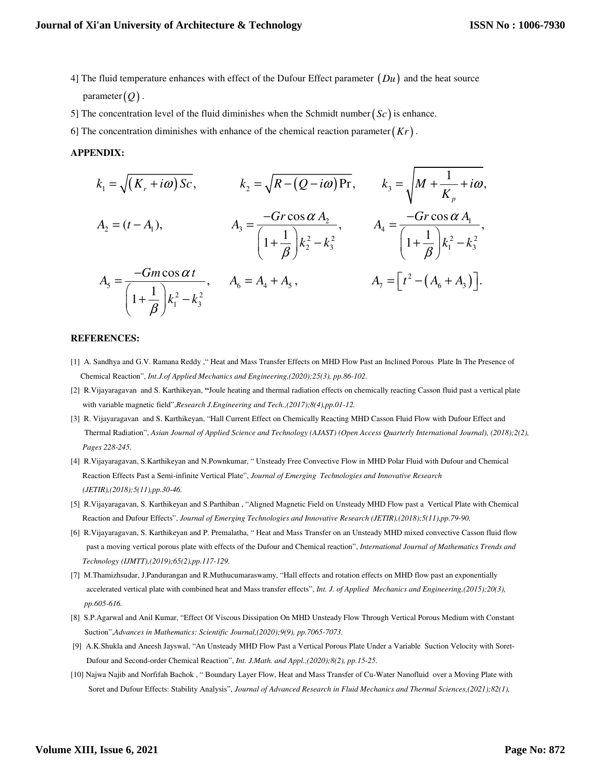- 4] The fluid temperature enhances with effect of the Dufour Effect parameter (*Du*) and the heat source parameter  $(Q)$ .
- 5] The concentration level of the fluid diminishes when the Schmidt number( $Sc$ ) is enhance.
- 6] The concentration diminishes with enhance of the chemical reaction parameter $(Kr)$ .

#### **APPENDIX:**

$$
k_1 = \sqrt{(K_r + i\omega) Sc}, \qquad k_2 = \sqrt{R - (Q - i\omega) Pr}, \qquad k_3 = \sqrt{M + \frac{1}{K_p} + i\omega},
$$
  
\n
$$
A_2 = (t - A_1), \qquad A_3 = \frac{-Gr \cos \alpha A_2}{\left(1 + \frac{1}{\beta}\right)k_2^2 - k_3^2}, \qquad A_4 = \frac{-Gr \cos \alpha A_1}{\left(1 + \frac{1}{\beta}\right)k_1^2 - k_3^2},
$$
  
\n
$$
A_5 = \frac{-Gm \cos \alpha t}{\left(1 + \frac{1}{\beta}\right)k_1^2 - k_3^2}, \qquad A_6 = A_4 + A_5, \qquad A_7 = \left[t^2 - (A_6 + A_3)\right].
$$

### **REFERENCES:**

- [1] A. Sandhya and G.V. Ramana Reddy ," Heat and Mass Transfer Effects on MHD Flow Past an Inclined Porous Plate In The Presence of Chemical Reaction", *Int.J.of Applied Mechanics and Engineering,(2020);25(3), pp.86-102.*
- [2] R.Vijayaragavan and S. Karthikeyan, **"**Joule heating and thermal radiation effects on chemically reacting Casson fluid past a vertical plate with variable magnetic field",*Research J.Engineering and Tech.,(2017);8(4),pp.01-12.*
- [3] R. Vijayaragavan and S. Karthikeyan, "Hall Current Effect on Chemically Reacting MHD Casson Fluid Flow with Dufour Effect and Thermal Radiation", *Asian Journal of Applied Science and Technology (AJAST) (Open Access Quarterly International Journal), (2018);2(2), Pages 228-245.*
- [4] R.Vijayaragavan, S.Karthikeyan and N.Pownkumar, " Unsteady Free Convective Flow in MHD Polar Fluid with Dufour and Chemical Reaction Effects Past a Semi-infinite Vertical Plate", *Journal of Emerging Technologies and Innovative Research (JETIR),(2018);5(11),pp.30-46.*
- [5] R.Vijayaragavan, S. Karthikeyan and S.Parthiban , "Aligned Magnetic Field on Unsteady MHD Flow past a Vertical Plate with Chemical Reaction and Dufour Effects", *Journal of Emerging Technologies and Innovative Research (JETIR),(2018);5(11),pp.79-90.*
- [6] R.Vijayaragavan, S. Karthikeyan and P. Premalatha, " Heat and Mass Transfer on an Unsteady MHD mixed convective Casson fluid flow past a moving vertical porous plate with effects of the Dufour and Chemical reaction", *International Journal of Mathematics Trends and Technology (IJMTT),(2019);65(2),pp.117-129.*
- [7] M.Thamizhsudar, J.Pandurangan and R.Muthucumaraswamy, "Hall effects and rotation effects on MHD flow past an exponentially accelerated vertical plate with combined heat and Mass transfer effects", *Int. J. of Applied Mechanics and Engineering,(2015);20(3), pp.605-616.*
- [8] S.P.Agarwal and Anil Kumar, "Effect Of Viscous Dissipation On MHD Unsteady Flow Through Vertical Porous Medium with Constant Suction",*Advances in Mathematics: Scientific Journal,(2020);9(9), pp.7065-7073.*
- [9] A.K.Shukla and Aneesh Jayswal, "An Unsteady MHD Flow Past a Vertical Porous Plate Under a Variable Suction Velocity with Soret- Dufour and Second-order Chemical Reaction", *Int. J.Math. and Appl.,(2020);8(2), pp.15-25.*
- [10] Najwa Najib and Norfifah Bachok , " Boundary Layer Flow, Heat and Mass Transfer of Cu-Water Nanofluid over a Moving Plate with Soret and Dufour Effects: Stability Analysis", *Journal of Advanced Research in Fluid Mechanics and Thermal Sciences,(2021);82(1),*